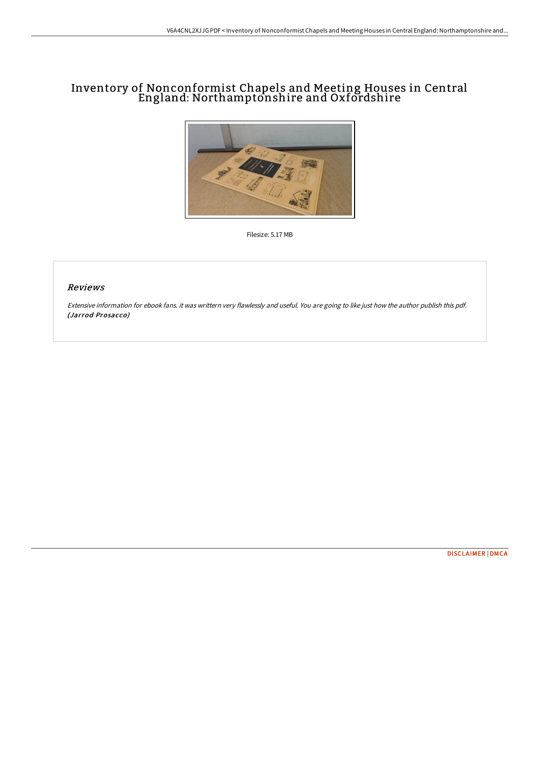# Inventory of Nonconformist Chapels and Meeting Houses in Central England: Northamptonshire and Oxfordshire



Filesize: 5.17 MB

#### Reviews

Extensive information for ebook fans. it was writtern very flawlessly and useful. You are going to like just how the author publish this pdf. (Jarrod Prosacco)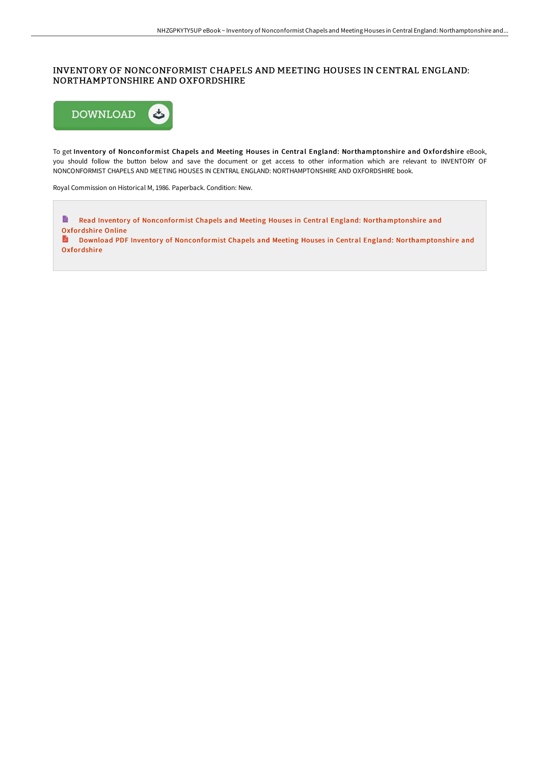### INVENTORY OF NONCONFORMIST CHAPELS AND MEETING HOUSES IN CENTRAL ENGLAND: NORTHAMPTONSHIRE AND OXFORDSHIRE



To get Inventory of Nonconformist Chapels and Meeting Houses in Central England: Northamptonshire and Oxfordshire eBook, you should follow the button below and save the document or get access to other information which are relevant to INVENTORY OF NONCONFORMIST CHAPELS AND MEETING HOUSES IN CENTRAL ENGLAND: NORTHAMPTONSHIRE AND OXFORDSHIRE book.

Royal Commission on Historical M, 1986. Paperback. Condition: New.

Read Inventory of Nonconformist Chapels and Meeting Houses in Central England: [Northamptonshire](http://bookera.tech/inventory-of-nonconformist-chapels-and-meeting-h.html) and Oxfordshire Online **D** 

Download PDF Inventory of Nonconformist Chapels and Meeting Houses in Central England: [Northamptonshire](http://bookera.tech/inventory-of-nonconformist-chapels-and-meeting-h.html) and Oxfordshire